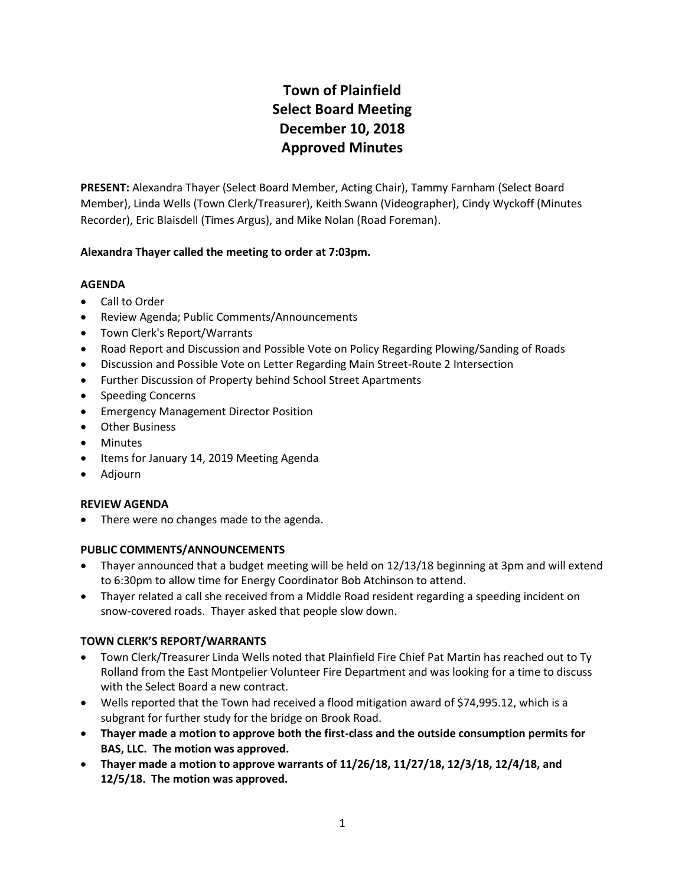# **Town of Plainfield Select Board Meeting December 10, 2018 Approved Minutes**

**PRESENT:** Alexandra Thayer (Select Board Member, Acting Chair), Tammy Farnham (Select Board Member), Linda Wells (Town Clerk/Treasurer), Keith Swann (Videographer), Cindy Wyckoff (Minutes Recorder), Eric Blaisdell (Times Argus), and Mike Nolan (Road Foreman).

# **Alexandra Thayer called the meeting to order at 7:03pm.**

#### **AGENDA**

- Call to Order
- Review Agenda; Public Comments/Announcements
- Town Clerk's Report/Warrants
- Road Report and Discussion and Possible Vote on Policy Regarding Plowing/Sanding of Roads
- Discussion and Possible Vote on Letter Regarding Main Street-Route 2 Intersection
- Further Discussion of Property behind School Street Apartments
- Speeding Concerns
- **•** Emergency Management Director Position
- Other Business
- Minutes
- Items for January 14, 2019 Meeting Agenda
- Adjourn

# **REVIEW AGENDA**

There were no changes made to the agenda.

# **PUBLIC COMMENTS/ANNOUNCEMENTS**

- Thayer announced that a budget meeting will be held on 12/13/18 beginning at 3pm and will extend to 6:30pm to allow time for Energy Coordinator Bob Atchinson to attend.
- Thayer related a call she received from a Middle Road resident regarding a speeding incident on snow-covered roads. Thayer asked that people slow down.

# **TOWN CLERK'S REPORT/WARRANTS**

- Town Clerk/Treasurer Linda Wells noted that Plainfield Fire Chief Pat Martin has reached out to Ty Rolland from the East Montpelier Volunteer Fire Department and was looking for a time to discuss with the Select Board a new contract.
- Wells reported that the Town had received a flood mitigation award of \$74,995.12, which is a subgrant for further study for the bridge on Brook Road.
- **Thayer made a motion to approve both the first-class and the outside consumption permits for BAS, LLC. The motion was approved.**
- **Thayer made a motion to approve warrants of 11/26/18, 11/27/18, 12/3/18, 12/4/18, and 12/5/18. The motion was approved.**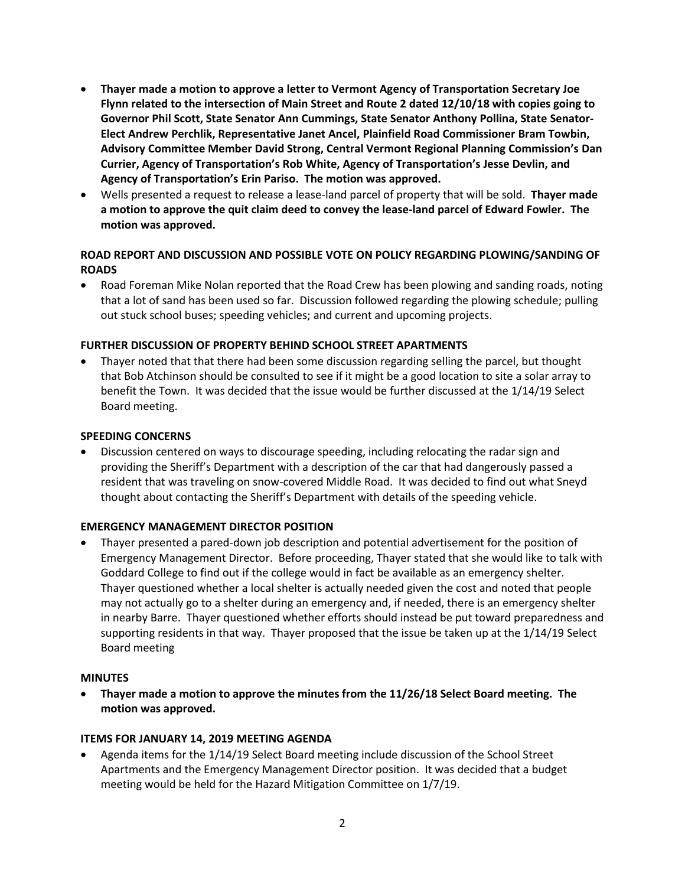- **Thayer made a motion to approve a letter to Vermont Agency of Transportation Secretary Joe Flynn related to the intersection of Main Street and Route 2 dated 12/10/18 with copies going to Governor Phil Scott, State Senator Ann Cummings, State Senator Anthony Pollina, State Senator-Elect Andrew Perchlik, Representative Janet Ancel, Plainfield Road Commissioner Bram Towbin, Advisory Committee Member David Strong, Central Vermont Regional Planning Commission's Dan Currier, Agency of Transportation's Rob White, Agency of Transportation's Jesse Devlin, and Agency of Transportation's Erin Pariso. The motion was approved.**
- Wells presented a request to release a lease-land parcel of property that will be sold. **Thayer made a motion to approve the quit claim deed to convey the lease-land parcel of Edward Fowler. The motion was approved.**

# **ROAD REPORT AND DISCUSSION AND POSSIBLE VOTE ON POLICY REGARDING PLOWING/SANDING OF ROADS**

• Road Foreman Mike Nolan reported that the Road Crew has been plowing and sanding roads, noting that a lot of sand has been used so far. Discussion followed regarding the plowing schedule; pulling out stuck school buses; speeding vehicles; and current and upcoming projects.

#### **FURTHER DISCUSSION OF PROPERTY BEHIND SCHOOL STREET APARTMENTS**

 Thayer noted that that there had been some discussion regarding selling the parcel, but thought that Bob Atchinson should be consulted to see if it might be a good location to site a solar array to benefit the Town. It was decided that the issue would be further discussed at the 1/14/19 Select Board meeting.

#### **SPEEDING CONCERNS**

 Discussion centered on ways to discourage speeding, including relocating the radar sign and providing the Sheriff's Department with a description of the car that had dangerously passed a resident that was traveling on snow-covered Middle Road. It was decided to find out what Sneyd thought about contacting the Sheriff's Department with details of the speeding vehicle.

#### **EMERGENCY MANAGEMENT DIRECTOR POSITION**

 Thayer presented a pared-down job description and potential advertisement for the position of Emergency Management Director. Before proceeding, Thayer stated that she would like to talk with Goddard College to find out if the college would in fact be available as an emergency shelter. Thayer questioned whether a local shelter is actually needed given the cost and noted that people may not actually go to a shelter during an emergency and, if needed, there is an emergency shelter in nearby Barre. Thayer questioned whether efforts should instead be put toward preparedness and supporting residents in that way. Thayer proposed that the issue be taken up at the 1/14/19 Select Board meeting

#### **MINUTES**

 **Thayer made a motion to approve the minutes from the 11/26/18 Select Board meeting. The motion was approved.**

#### **ITEMS FOR JANUARY 14, 2019 MEETING AGENDA**

 Agenda items for the 1/14/19 Select Board meeting include discussion of the School Street Apartments and the Emergency Management Director position. It was decided that a budget meeting would be held for the Hazard Mitigation Committee on 1/7/19.